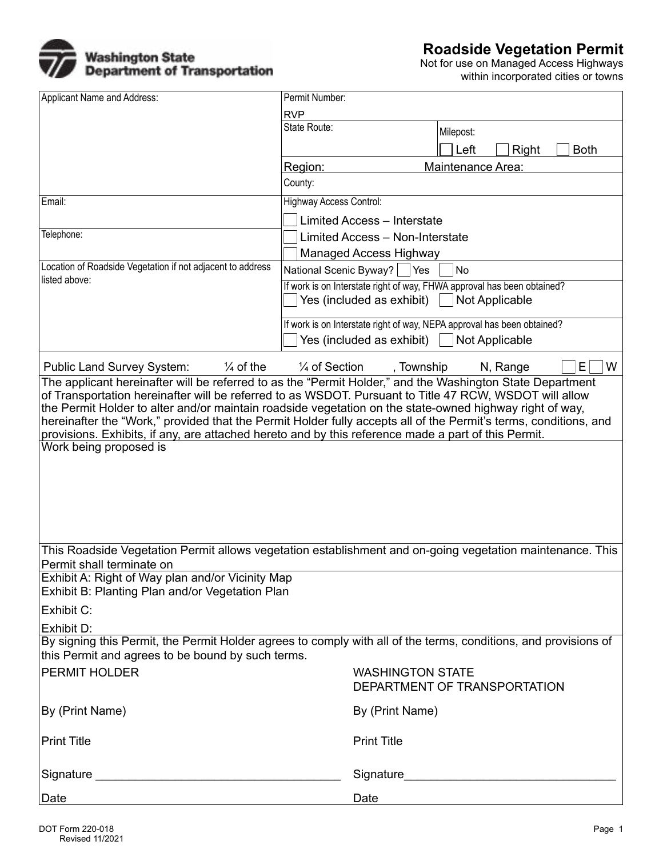

Not for use on Managed Access Highways within incorporated cities or towns

| Applicant Name and Address:<br>Permit Number:                                                                                                                                                                           |                                |                                                                         |
|-------------------------------------------------------------------------------------------------------------------------------------------------------------------------------------------------------------------------|--------------------------------|-------------------------------------------------------------------------|
|                                                                                                                                                                                                                         | <b>RVP</b>                     |                                                                         |
|                                                                                                                                                                                                                         | State Route:                   | Milepost:                                                               |
|                                                                                                                                                                                                                         |                                | Left<br><b>Right</b><br><b>Both</b>                                     |
|                                                                                                                                                                                                                         | Region:                        | Maintenance Area:<br>$\blacktriangledown$                               |
|                                                                                                                                                                                                                         | County:                        |                                                                         |
| Email:                                                                                                                                                                                                                  | <b>Highway Access Control:</b> |                                                                         |
|                                                                                                                                                                                                                         |                                | <b>Limited Access - Interstate</b>                                      |
| Telephone:                                                                                                                                                                                                              |                                | Limited Access - Non-Interstate                                         |
|                                                                                                                                                                                                                         |                                | <b>Managed Access Highway</b>                                           |
| Location of Roadside Vegetation if not adjacent to address                                                                                                                                                              | National Scenic Byway?   Yes   | No                                                                      |
| listed above:                                                                                                                                                                                                           |                                | If work is on Interstate right of way, FHWA approval has been obtained? |
|                                                                                                                                                                                                                         |                                | Yes (included as exhibit)<br><b>Not Applicable</b>                      |
|                                                                                                                                                                                                                         |                                | If work is on Interstate right of way, NEPA approval has been obtained? |
|                                                                                                                                                                                                                         |                                | Yes (included as exhibit)<br>Not Applicable                             |
| $\frac{1}{4}$ of the<br><b>Public Land Survey System:</b>                                                                                                                                                               | $\frac{1}{4}$ of Section       | W<br>, Township<br>N, Range<br>Е                                        |
| The applicant hereinafter will be referred to as the "Permit Holder," and the Washington State Department                                                                                                               |                                |                                                                         |
| of Transportation hereinafter will be referred to as WSDOT. Pursuant to Title 47 RCW, WSDOT will allow                                                                                                                  |                                |                                                                         |
| the Permit Holder to alter and/or maintain roadside vegetation on the state-owned highway right of way,                                                                                                                 |                                |                                                                         |
| hereinafter the "Work," provided that the Permit Holder fully accepts all of the Permit's terms, conditions, and<br>provisions. Exhibits, if any, are attached hereto and by this reference made a part of this Permit. |                                |                                                                         |
| Work being proposed is                                                                                                                                                                                                  |                                |                                                                         |
|                                                                                                                                                                                                                         |                                |                                                                         |
|                                                                                                                                                                                                                         |                                |                                                                         |
|                                                                                                                                                                                                                         |                                |                                                                         |
|                                                                                                                                                                                                                         |                                |                                                                         |
|                                                                                                                                                                                                                         |                                |                                                                         |
|                                                                                                                                                                                                                         |                                |                                                                         |
| This Roadside Vegetation Permit allows vegetation establishment and on-going vegetation maintenance. This                                                                                                               |                                |                                                                         |
| Permit shall terminate on<br>Exhibit A: Right of Way plan and/or Vicinity Map                                                                                                                                           |                                |                                                                         |
| Exhibit B: Planting Plan and/or Vegetation Plan                                                                                                                                                                         |                                |                                                                         |
| Exhibit C:                                                                                                                                                                                                              |                                |                                                                         |
|                                                                                                                                                                                                                         |                                |                                                                         |
| Exhibit D:                                                                                                                                                                                                              |                                |                                                                         |
| By signing this Permit, the Permit Holder agrees to comply with all of the terms, conditions, and provisions of<br>this Permit and agrees to be bound by such terms.                                                    |                                |                                                                         |
| <b>PERMIT HOLDER</b>                                                                                                                                                                                                    |                                | <b>WASHINGTON STATE</b>                                                 |
|                                                                                                                                                                                                                         |                                | DEPARTMENT OF TRANSPORTATION                                            |
| By (Print Name)                                                                                                                                                                                                         |                                | By (Print Name)                                                         |
| <b>Print Title</b>                                                                                                                                                                                                      |                                | <b>Print Title</b>                                                      |
|                                                                                                                                                                                                                         |                                |                                                                         |
| Date<br><u> 1989 - Johann Stein, marwolaethau a bhann an t-Amhair ann an t-Amhair an t-Amhair an t-Amhair an t-Amhair an </u>                                                                                           |                                | Date                                                                    |
|                                                                                                                                                                                                                         |                                |                                                                         |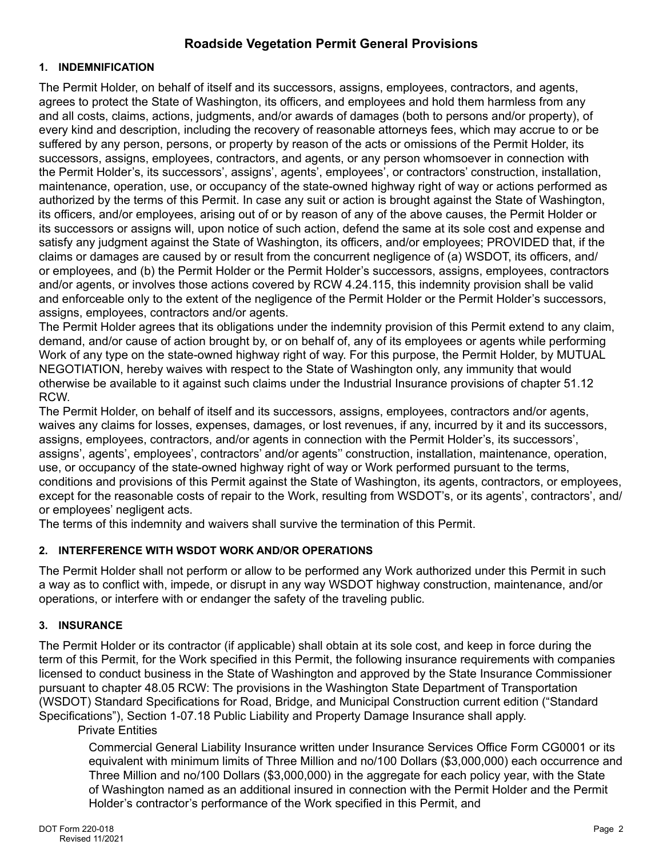## **Roadside Vegetation Permit General Provisions**

#### **1. INDEMNIFICATION**

The Permit Holder, on behalf of itself and its successors, assigns, employees, contractors, and agents, agrees to protect the State of Washington, its officers, and employees and hold them harmless from any and all costs, claims, actions, judgments, and/or awards of damages (both to persons and/or property), of every kind and description, including the recovery of reasonable attorneys fees, which may accrue to or be suffered by any person, persons, or property by reason of the acts or omissions of the Permit Holder, its successors, assigns, employees, contractors, and agents, or any person whomsoever in connection with the Permit Holder's, its successors', assigns', agents', employees', or contractors' construction, installation, maintenance, operation, use, or occupancy of the state-owned highway right of way or actions performed as authorized by the terms of this Permit. In case any suit or action is brought against the State of Washington, its officers, and/or employees, arising out of or by reason of any of the above causes, the Permit Holder or its successors or assigns will, upon notice of such action, defend the same at its sole cost and expense and satisfy any judgment against the State of Washington, its officers, and/or employees; PROVIDED that, if the claims or damages are caused by or result from the concurrent negligence of (a) WSDOT, its officers, and/ or employees, and (b) the Permit Holder or the Permit Holder's successors, assigns, employees, contractors and/or agents, or involves those actions covered by RCW 4.24.115, this indemnity provision shall be valid and enforceable only to the extent of the negligence of the Permit Holder or the Permit Holder's successors, assigns, employees, contractors and/or agents.

The Permit Holder agrees that its obligations under the indemnity provision of this Permit extend to any claim, demand, and/or cause of action brought by, or on behalf of, any of its employees or agents while performing Work of any type on the state-owned highway right of way. For this purpose, the Permit Holder, by MUTUAL NEGOTIATION, hereby waives with respect to the State of Washington only, any immunity that would otherwise be available to it against such claims under the Industrial Insurance provisions of chapter 51.12 RCW.

The Permit Holder, on behalf of itself and its successors, assigns, employees, contractors and/or agents, waives any claims for losses, expenses, damages, or lost revenues, if any, incurred by it and its successors, assigns, employees, contractors, and/or agents in connection with the Permit Holder's, its successors', assigns', agents', employees', contractors' and/or agents'' construction, installation, maintenance, operation, use, or occupancy of the state-owned highway right of way or Work performed pursuant to the terms, conditions and provisions of this Permit against the State of Washington, its agents, contractors, or employees, except for the reasonable costs of repair to the Work, resulting from WSDOT's, or its agents', contractors', and/ or employees' negligent acts.

The terms of this indemnity and waivers shall survive the termination of this Permit.

## **2. INTERFERENCE WITH WSDOT WORK AND/OR OPERATIONS**

The Permit Holder shall not perform or allow to be performed any Work authorized under this Permit in such a way as to conflict with, impede, or disrupt in any way WSDOT highway construction, maintenance, and/or operations, or interfere with or endanger the safety of the traveling public.

## **3. INSURANCE**

The Permit Holder or its contractor (if applicable) shall obtain at its sole cost, and keep in force during the term of this Permit, for the Work specified in this Permit, the following insurance requirements with companies licensed to conduct business in the State of Washington and approved by the State Insurance Commissioner pursuant to chapter 48.05 RCW: The provisions in the [Washington State Department of Transportation](http://www.wsdot.wa.gov/Business/Construction/SpecificationsAmendmentsGSPs.htm)  [\(WSDOT\) Standard Specifications for Road, Bridge, and Municipal Construction](http://www.wsdot.wa.gov/Business/Construction/SpecificationsAmendmentsGSPs.htm) current edition ("Standard Specifications"), Section 1-07.18 Public Liability and Property Damage Insurance shall apply.

## Private Entities

Commercial General Liability Insurance written under Insurance Services Office Form CG0001 or its equivalent with minimum limits of Three Million and no/100 Dollars (\$3,000,000) each occurrence and Three Million and no/100 Dollars (\$3,000,000) in the aggregate for each policy year, with the State of Washington named as an additional insured in connection with the Permit Holder and the Permit Holder's contractor's performance of the Work specified in this Permit, and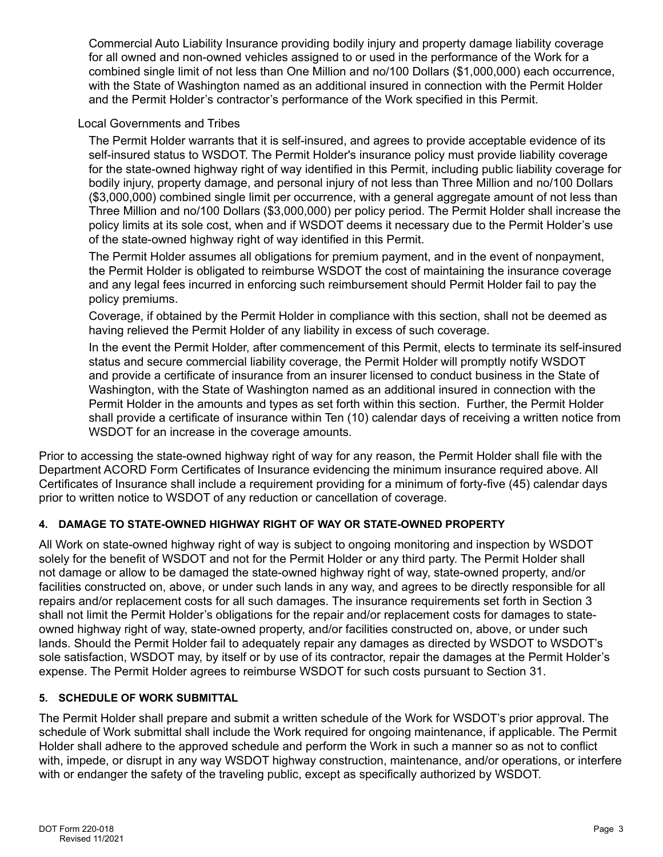Commercial Auto Liability Insurance providing bodily injury and property damage liability coverage for all owned and non-owned vehicles assigned to or used in the performance of the Work for a combined single limit of not less than One Million and no/100 Dollars (\$1,000,000) each occurrence, with the State of Washington named as an additional insured in connection with the Permit Holder and the Permit Holder's contractor's performance of the Work specified in this Permit.

Local Governments and Tribes

The Permit Holder warrants that it is self-insured, and agrees to provide acceptable evidence of its self-insured status to WSDOT. The Permit Holder's insurance policy must provide liability coverage for the state-owned highway right of way identified in this Permit, including public liability coverage for bodily injury, property damage, and personal injury of not less than Three Million and no/100 Dollars (\$3,000,000) combined single limit per occurrence, with a general aggregate amount of not less than Three Million and no/100 Dollars (\$3,000,000) per policy period. The Permit Holder shall increase the policy limits at its sole cost, when and if WSDOT deems it necessary due to the Permit Holder's use of the state-owned highway right of way identified in this Permit.

The Permit Holder assumes all obligations for premium payment, and in the event of nonpayment, the Permit Holder is obligated to reimburse WSDOT the cost of maintaining the insurance coverage and any legal fees incurred in enforcing such reimbursement should Permit Holder fail to pay the policy premiums.

Coverage, if obtained by the Permit Holder in compliance with this section, shall not be deemed as having relieved the Permit Holder of any liability in excess of such coverage.

In the event the Permit Holder, after commencement of this Permit, elects to terminate its self-insured status and secure commercial liability coverage, the Permit Holder will promptly notify WSDOT and provide a certificate of insurance from an insurer licensed to conduct business in the State of Washington, with the State of Washington named as an additional insured in connection with the Permit Holder in the amounts and types as set forth within this section. Further, the Permit Holder shall provide a certificate of insurance within Ten (10) calendar days of receiving a written notice from WSDOT for an increase in the coverage amounts.

Prior to accessing the state-owned highway right of way for any reason, the Permit Holder shall file with the Department ACORD Form Certificates of Insurance evidencing the minimum insurance required above. All Certificates of Insurance shall include a requirement providing for a minimum of forty-five (45) calendar days prior to written notice to WSDOT of any reduction or cancellation of coverage.

## **4. DAMAGE TO STATE-OWNED HIGHWAY RIGHT OF WAY OR STATE-OWNED PROPERTY**

All Work on state-owned highway right of way is subject to ongoing monitoring and inspection by WSDOT solely for the benefit of WSDOT and not for the Permit Holder or any third party. The Permit Holder shall not damage or allow to be damaged the state-owned highway right of way, state-owned property, and/or facilities constructed on, above, or under such lands in any way, and agrees to be directly responsible for all repairs and/or replacement costs for all such damages. The insurance requirements set forth in Section 3 shall not limit the Permit Holder's obligations for the repair and/or replacement costs for damages to stateowned highway right of way, state-owned property, and/or facilities constructed on, above, or under such lands. Should the Permit Holder fail to adequately repair any damages as directed by WSDOT to WSDOT's sole satisfaction, WSDOT may, by itself or by use of its contractor, repair the damages at the Permit Holder's expense. The Permit Holder agrees to reimburse WSDOT for such costs pursuant to Section 31.

## **5. SCHEDULE OF WORK SUBMITTAL**

The Permit Holder shall prepare and submit a written schedule of the Work for WSDOT's prior approval. The schedule of Work submittal shall include the Work required for ongoing maintenance, if applicable. The Permit Holder shall adhere to the approved schedule and perform the Work in such a manner so as not to conflict with, impede, or disrupt in any way WSDOT highway construction, maintenance, and/or operations, or interfere with or endanger the safety of the traveling public, except as specifically authorized by WSDOT.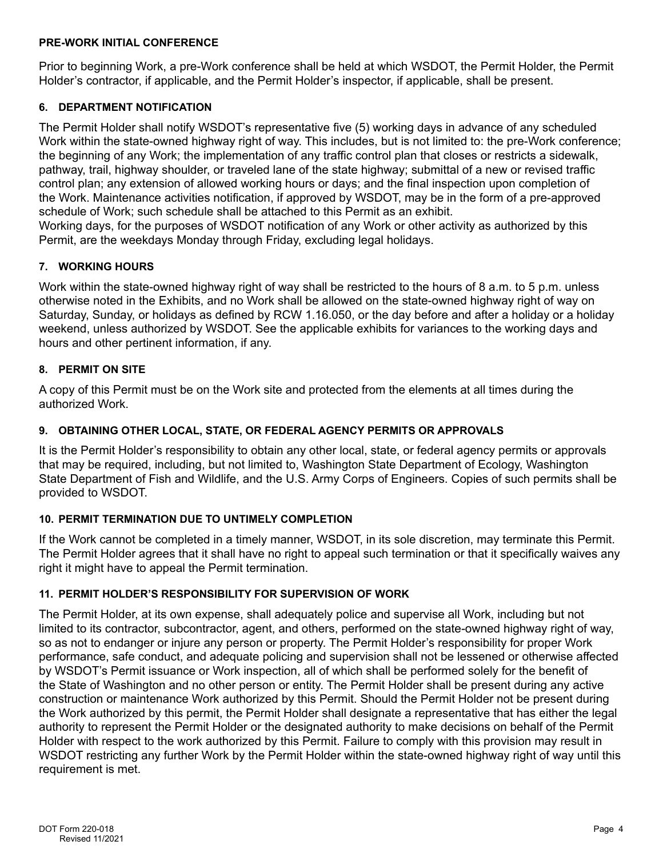#### **PRE-WORK INITIAL CONFERENCE**

Prior to beginning Work, a pre-Work conference shall be held at which WSDOT, the Permit Holder, the Permit Holder's contractor, if applicable, and the Permit Holder's inspector, if applicable, shall be present.

## **6. DEPARTMENT NOTIFICATION**

The Permit Holder shall notify WSDOT's representative five (5) working days in advance of any scheduled Work within the state-owned highway right of way. This includes, but is not limited to: the pre-Work conference; the beginning of any Work; the implementation of any traffic control plan that closes or restricts a sidewalk, pathway, trail, highway shoulder, or traveled lane of the state highway; submittal of a new or revised traffic control plan; any extension of allowed working hours or days; and the final inspection upon completion of the Work. Maintenance activities notification, if approved by WSDOT, may be in the form of a pre-approved schedule of Work; such schedule shall be attached to this Permit as an exhibit.

Working days, for the purposes of WSDOT notification of any Work or other activity as authorized by this Permit, are the weekdays Monday through Friday, excluding legal holidays.

## **7. WORKING HOURS**

Work within the state-owned highway right of way shall be restricted to the hours of 8 a.m. to 5 p.m. unless otherwise noted in the Exhibits, and no Work shall be allowed on the state-owned highway right of way on Saturday, Sunday, or holidays as defined by RCW 1.16.050, or the day before and after a holiday or a holiday weekend, unless authorized by WSDOT. See the applicable exhibits for variances to the working days and hours and other pertinent information, if any.

## **8. PERMIT ON SITE**

A copy of this Permit must be on the Work site and protected from the elements at all times during the authorized Work.

## **9. OBTAINING OTHER LOCAL, STATE, OR FEDERAL AGENCY PERMITS OR APPROVALS**

It is the Permit Holder's responsibility to obtain any other local, state, or federal agency permits or approvals that may be required, including, but not limited to, Washington State Department of Ecology, Washington State Department of Fish and Wildlife, and the U.S. Army Corps of Engineers. Copies of such permits shall be provided to WSDOT.

## **10. PERMIT TERMINATION DUE TO UNTIMELY COMPLETION**

If the Work cannot be completed in a timely manner, WSDOT, in its sole discretion, may terminate this Permit. The Permit Holder agrees that it shall have no right to appeal such termination or that it specifically waives any right it might have to appeal the Permit termination.

## **11. PERMIT HOLDER'S RESPONSIBILITY FOR SUPERVISION OF WORK**

The Permit Holder, at its own expense, shall adequately police and supervise all Work, including but not limited to its contractor, subcontractor, agent, and others, performed on the state-owned highway right of way, so as not to endanger or injure any person or property. The Permit Holder's responsibility for proper Work performance, safe conduct, and adequate policing and supervision shall not be lessened or otherwise affected by WSDOT's Permit issuance or Work inspection, all of which shall be performed solely for the benefit of the State of Washington and no other person or entity. The Permit Holder shall be present during any active construction or maintenance Work authorized by this Permit. Should the Permit Holder not be present during the Work authorized by this permit, the Permit Holder shall designate a representative that has either the legal authority to represent the Permit Holder or the designated authority to make decisions on behalf of the Permit Holder with respect to the work authorized by this Permit. Failure to comply with this provision may result in WSDOT restricting any further Work by the Permit Holder within the state-owned highway right of way until this requirement is met.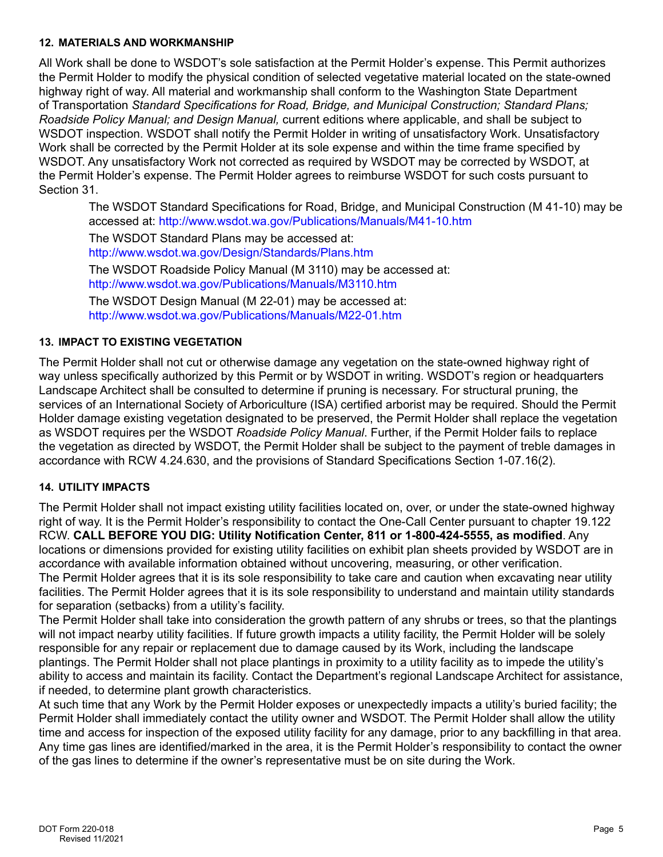#### **12. MATERIALS AND WORKMANSHIP**

All Work shall be done to WSDOT's sole satisfaction at the Permit Holder's expense. This Permit authorizes the Permit Holder to modify the physical condition of selected vegetative material located on the state-owned highway right of way. All material and workmanship shall conform to the Washington State Department of Transportation *Standard Specifications for Road, Bridge, and Municipal Construction; Standard Plans; Roadside Policy Manual; and Design Manual,* current editions where applicable, and shall be subject to WSDOT inspection. WSDOT shall notify the Permit Holder in writing of unsatisfactory Work. Unsatisfactory Work shall be corrected by the Permit Holder at its sole expense and within the time frame specified by WSDOT. Any unsatisfactory Work not corrected as required by WSDOT may be corrected by WSDOT, at the Permit Holder's expense. The Permit Holder agrees to reimburse WSDOT for such costs pursuant to Section 31.

The WSDOT Standard Specifications for Road, Bridge, and Municipal Construction (M 41-10) may be accessed at: <http://www.wsdot.wa.gov/Publications/Manuals/M41-10.htm>

The WSDOT Standard Plans may be accessed at: <http://www.wsdot.wa.gov/Design/Standards/Plans.htm>

The WSDOT Roadside Policy Manual (M 3110) may be accessed at: <http://www.wsdot.wa.gov/Publications/Manuals/M3110.htm>

The WSDOT Design Manual (M 22-01) may be accessed at: <http://www.wsdot.wa.gov/Publications/Manuals/M22-01.htm>

## **13. IMPACT TO EXISTING VEGETATION**

The Permit Holder shall not cut or otherwise damage any vegetation on the state-owned highway right of way unless specifically authorized by this Permit or by WSDOT in writing. WSDOT's region or headquarters Landscape Architect shall be consulted to determine if pruning is necessary. For structural pruning, the services of an International Society of Arboriculture (ISA) certified arborist may be required. Should the Permit Holder damage existing vegetation designated to be preserved, the Permit Holder shall replace the vegetation as WSDOT requires per the WSDOT *Roadside Policy Manual*. Further, if the Permit Holder fails to replace the vegetation as directed by WSDOT, the Permit Holder shall be subject to the payment of treble damages in accordance with RCW 4.24.630, and the provisions of Standard Specifications Section 1-07.16(2).

## **14. UTILITY IMPACTS**

The Permit Holder shall not impact existing utility facilities located on, over, or under the state-owned highway right of way. It is the Permit Holder's responsibility to contact the One-Call Center pursuant to chapter 19.122 RCW. **CALL BEFORE YOU DIG: Utility Notification Center, 811 or 1-800-424-5555, as modified**. Any locations or dimensions provided for existing utility facilities on exhibit plan sheets provided by WSDOT are in accordance with available information obtained without uncovering, measuring, or other verification. The Permit Holder agrees that it is its sole responsibility to take care and caution when excavating near utility facilities. The Permit Holder agrees that it is its sole responsibility to understand and maintain utility standards for separation (setbacks) from a utility's facility.

The Permit Holder shall take into consideration the growth pattern of any shrubs or trees, so that the plantings will not impact nearby utility facilities. If future growth impacts a utility facility, the Permit Holder will be solely responsible for any repair or replacement due to damage caused by its Work, including the landscape plantings. The Permit Holder shall not place plantings in proximity to a utility facility as to impede the utility's ability to access and maintain its facility. Contact the Department's regional Landscape Architect for assistance, if needed, to determine plant growth characteristics.

At such time that any Work by the Permit Holder exposes or unexpectedly impacts a utility's buried facility; the Permit Holder shall immediately contact the utility owner and WSDOT. The Permit Holder shall allow the utility time and access for inspection of the exposed utility facility for any damage, prior to any backfilling in that area. Any time gas lines are identified/marked in the area, it is the Permit Holder's responsibility to contact the owner of the gas lines to determine if the owner's representative must be on site during the Work.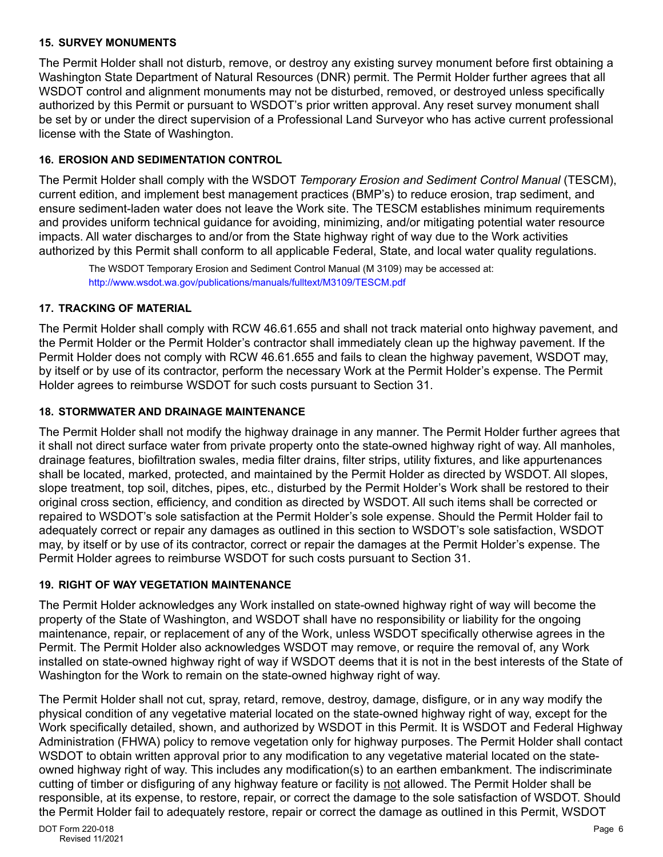#### **15. SURVEY MONUMENTS**

The Permit Holder shall not disturb, remove, or destroy any existing survey monument before first obtaining a Washington State Department of Natural Resources (DNR) permit. The Permit Holder further agrees that all WSDOT control and alignment monuments may not be disturbed, removed, or destroyed unless specifically authorized by this Permit or pursuant to WSDOT's prior written approval. Any reset survey monument shall be set by or under the direct supervision of a Professional Land Surveyor who has active current professional license with the State of Washington.

## **16. EROSION AND SEDIMENTATION CONTROL**

The Permit Holder shall comply with the WSDOT *Temporary Erosion and Sediment Control Manual* (TESCM), current edition, and implement best management practices (BMP's) to reduce erosion, trap sediment, and ensure sediment-laden water does not leave the Work site. The TESCM establishes minimum requirements and provides uniform technical guidance for avoiding, minimizing, and/or mitigating potential water resource impacts. All water discharges to and/or from the State highway right of way due to the Work activities authorized by this Permit shall conform to all applicable Federal, State, and local water quality regulations.

The WSDOT Temporary Erosion and Sediment Control Manual (M 3109) may be accessed at: <http://www.wsdot.wa.gov/publications/manuals/fulltext/M3109/TESCM.pdf>

#### **17. TRACKING OF MATERIAL**

The Permit Holder shall comply with RCW 46.61.655 and shall not track material onto highway pavement, and the Permit Holder or the Permit Holder's contractor shall immediately clean up the highway pavement. If the Permit Holder does not comply with RCW 46.61.655 and fails to clean the highway pavement, WSDOT may, by itself or by use of its contractor, perform the necessary Work at the Permit Holder's expense. The Permit Holder agrees to reimburse WSDOT for such costs pursuant to Section 31.

## **18. STORMWATER AND DRAINAGE MAINTENANCE**

The Permit Holder shall not modify the highway drainage in any manner. The Permit Holder further agrees that it shall not direct surface water from private property onto the state-owned highway right of way. All manholes, drainage features, biofiltration swales, media filter drains, filter strips, utility fixtures, and like appurtenances shall be located, marked, protected, and maintained by the Permit Holder as directed by WSDOT. All slopes, slope treatment, top soil, ditches, pipes, etc., disturbed by the Permit Holder's Work shall be restored to their original cross section, efficiency, and condition as directed by WSDOT. All such items shall be corrected or repaired to WSDOT's sole satisfaction at the Permit Holder's sole expense. Should the Permit Holder fail to adequately correct or repair any damages as outlined in this section to WSDOT's sole satisfaction, WSDOT may, by itself or by use of its contractor, correct or repair the damages at the Permit Holder's expense. The Permit Holder agrees to reimburse WSDOT for such costs pursuant to Section 31.

## **19. RIGHT OF WAY VEGETATION MAINTENANCE**

The Permit Holder acknowledges any Work installed on state-owned highway right of way will become the property of the State of Washington, and WSDOT shall have no responsibility or liability for the ongoing maintenance, repair, or replacement of any of the Work, unless WSDOT specifically otherwise agrees in the Permit. The Permit Holder also acknowledges WSDOT may remove, or require the removal of, any Work installed on state-owned highway right of way if WSDOT deems that it is not in the best interests of the State of Washington for the Work to remain on the state-owned highway right of way.

enties ingiting right of they. This includes any meanisonal cycle and saltance on allowing the material includes<br>cutting of timber or disfiguring of any highway feature or facility is <u>not</u> allowed. The Permit Holder shall The Permit Holder shall not cut, spray, retard, remove, destroy, damage, disfigure, or in any way modify the physical condition of any vegetative material located on the state-owned highway right of way, except for the Work specifically detailed, shown, and authorized by WSDOT in this Permit. It is WSDOT and Federal Highway Administration (FHWA) policy to remove vegetation only for highway purposes. The Permit Holder shall contact WSDOT to obtain written approval prior to any modification to any vegetative material located on the stateowned highway right of way. This includes any modification(s) to an earthen embankment. The indiscriminate responsible, at its expense, to restore, repair, or correct the damage to the sole satisfaction of WSDOT. Should the Permit Holder fail to adequately restore, repair or correct the damage as outlined in this Permit, WSDOT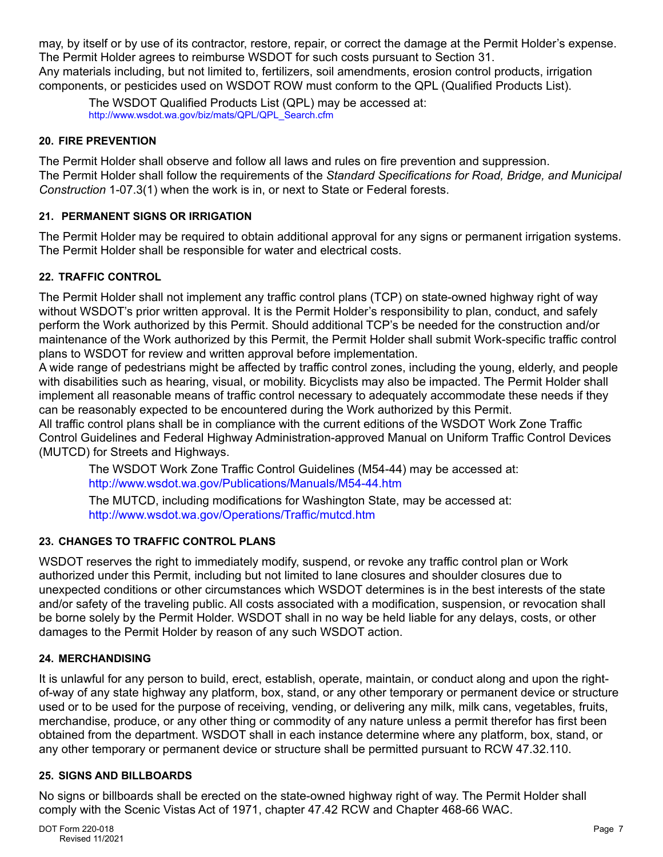may, by itself or by use of its contractor, restore, repair, or correct the damage at the Permit Holder's expense. The Permit Holder agrees to reimburse WSDOT for such costs pursuant to Section 31. Any materials including, but not limited to, fertilizers, soil amendments, erosion control products, irrigation components, or pesticides used on WSDOT ROW must conform to the QPL (Qualified Products List).

The WSDOT Qualified Products List (QPL) may be accessed at: [http://www.wsdot.wa.gov/biz/mats/QPL/QPL\\_Search.cfm](http://www.wsdot.wa.gov/biz/mats/QPL/QPL_Search.cfm)

#### **20. FIRE PREVENTION**

The Permit Holder shall observe and follow all laws and rules on fire prevention and suppression. The Permit Holder shall follow the requirements of the *Standard Specifications for Road, Bridge, and Municipal Construction* 1-07.3(1) when the work is in, or next to State or Federal forests.

#### **21. PERMANENT SIGNS OR IRRIGATION**

The Permit Holder may be required to obtain additional approval for any signs or permanent irrigation systems. The Permit Holder shall be responsible for water and electrical costs.

## **22. TRAFFIC CONTROL**

The Permit Holder shall not implement any traffic control plans (TCP) on state-owned highway right of way without WSDOT's prior written approval. It is the Permit Holder's responsibility to plan, conduct, and safely perform the Work authorized by this Permit. Should additional TCP's be needed for the construction and/or maintenance of the Work authorized by this Permit, the Permit Holder shall submit Work-specific traffic control plans to WSDOT for review and written approval before implementation.

A wide range of pedestrians might be affected by traffic control zones, including the young, elderly, and people with disabilities such as hearing, visual, or mobility. Bicyclists may also be impacted. The Permit Holder shall implement all reasonable means of traffic control necessary to adequately accommodate these needs if they can be reasonably expected to be encountered during the Work authorized by this Permit.

All traffic control plans shall be in compliance with the current editions of the WSDOT Work Zone Traffic Control Guidelines and Federal Highway Administration-approved Manual on Uniform Traffic Control Devices (MUTCD) for Streets and Highways.

The WSDOT Work Zone Traffic Control Guidelines (M54-44) may be accessed at: <http://www.wsdot.wa.gov/Publications/Manuals/M54-44.htm>

The MUTCD, including modifications for Washington State, may be accessed at: <http://www.wsdot.wa.gov/Operations/Traffic/mutcd.htm>

## **23. CHANGES TO TRAFFIC CONTROL PLANS**

WSDOT reserves the right to immediately modify, suspend, or revoke any traffic control plan or Work authorized under this Permit, including but not limited to lane closures and shoulder closures due to unexpected conditions or other circumstances which WSDOT determines is in the best interests of the state and/or safety of the traveling public. All costs associated with a modification, suspension, or revocation shall be borne solely by the Permit Holder. WSDOT shall in no way be held liable for any delays, costs, or other damages to the Permit Holder by reason of any such WSDOT action.

## **24. MERCHANDISING**

It is unlawful for any person to build, erect, establish, operate, maintain, or conduct along and upon the rightof-way of any state highway any platform, box, stand, or any other temporary or permanent device or structure used or to be used for the purpose of receiving, vending, or delivering any milk, milk cans, vegetables, fruits, merchandise, produce, or any other thing or commodity of any nature unless a permit therefor has first been obtained from the department. WSDOT shall in each instance determine where any platform, box, stand, or any other temporary or permanent device or structure shall be permitted pursuant to RCW 47.32.110.

#### **25. SIGNS AND BILLBOARDS**

No signs or billboards shall be erected on the state-owned highway right of way. The Permit Holder shall comply with the Scenic Vistas Act of 1971, chapter 47.42 RCW and Chapter 468-66 WAC.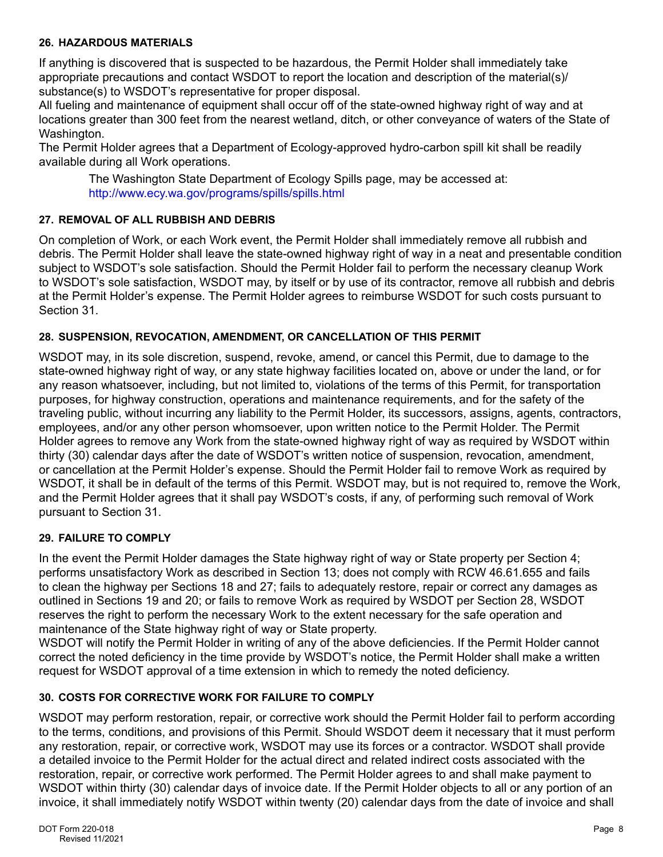#### **26. HAZARDOUS MATERIALS**

If anything is discovered that is suspected to be hazardous, the Permit Holder shall immediately take appropriate precautions and contact WSDOT to report the location and description of the material(s)/ substance(s) to WSDOT's representative for proper disposal.

All fueling and maintenance of equipment shall occur off of the state-owned highway right of way and at locations greater than 300 feet from the nearest wetland, ditch, or other conveyance of waters of the State of Washington.

The Permit Holder agrees that a Department of Ecology-approved hydro-carbon spill kit shall be readily available during all Work operations.

The Washington State Department of Ecology Spills page, may be accessed at: <http://www.ecy.wa.gov/programs/spills/spills.html>

## **27. REMOVAL OF ALL RUBBISH AND DEBRIS**

On completion of Work, or each Work event, the Permit Holder shall immediately remove all rubbish and debris. The Permit Holder shall leave the state-owned highway right of way in a neat and presentable condition subject to WSDOT's sole satisfaction. Should the Permit Holder fail to perform the necessary cleanup Work to WSDOT's sole satisfaction, WSDOT may, by itself or by use of its contractor, remove all rubbish and debris at the Permit Holder's expense. The Permit Holder agrees to reimburse WSDOT for such costs pursuant to Section 31.

#### **28. SUSPENSION, REVOCATION, AMENDMENT, OR CANCELLATION OF THIS PERMIT**

WSDOT may, in its sole discretion, suspend, revoke, amend, or cancel this Permit, due to damage to the state-owned highway right of way, or any state highway facilities located on, above or under the land, or for any reason whatsoever, including, but not limited to, violations of the terms of this Permit, for transportation purposes, for highway construction, operations and maintenance requirements, and for the safety of the traveling public, without incurring any liability to the Permit Holder, its successors, assigns, agents, contractors, employees, and/or any other person whomsoever, upon written notice to the Permit Holder. The Permit Holder agrees to remove any Work from the state-owned highway right of way as required by WSDOT within thirty (30) calendar days after the date of WSDOT's written notice of suspension, revocation, amendment, or cancellation at the Permit Holder's expense. Should the Permit Holder fail to remove Work as required by WSDOT, it shall be in default of the terms of this Permit. WSDOT may, but is not required to, remove the Work, and the Permit Holder agrees that it shall pay WSDOT's costs, if any, of performing such removal of Work pursuant to Section 31.

## **29. FAILURE TO COMPLY**

In the event the Permit Holder damages the State highway right of way or State property per Section 4; performs unsatisfactory Work as described in Section 13; does not comply with RCW 46.61.655 and fails to clean the highway per Sections 18 and 27; fails to adequately restore, repair or correct any damages as outlined in Sections 19 and 20; or fails to remove Work as required by WSDOT per Section 28, WSDOT reserves the right to perform the necessary Work to the extent necessary for the safe operation and maintenance of the State highway right of way or State property.

WSDOT will notify the Permit Holder in writing of any of the above deficiencies. If the Permit Holder cannot correct the noted deficiency in the time provide by WSDOT's notice, the Permit Holder shall make a written request for WSDOT approval of a time extension in which to remedy the noted deficiency.

#### **30. COSTS FOR CORRECTIVE WORK FOR FAILURE TO COMPLY**

WSDOT may perform restoration, repair, or corrective work should the Permit Holder fail to perform according to the terms, conditions, and provisions of this Permit. Should WSDOT deem it necessary that it must perform any restoration, repair, or corrective work, WSDOT may use its forces or a contractor. WSDOT shall provide a detailed invoice to the Permit Holder for the actual direct and related indirect costs associated with the restoration, repair, or corrective work performed. The Permit Holder agrees to and shall make payment to WSDOT within thirty (30) calendar days of invoice date. If the Permit Holder objects to all or any portion of an invoice, it shall immediately notify WSDOT within twenty (20) calendar days from the date of invoice and shall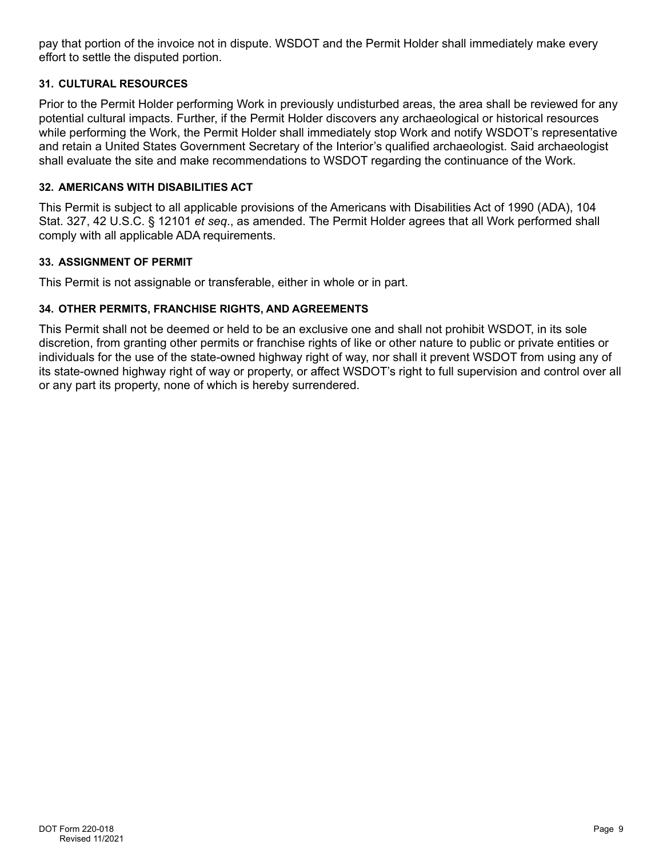pay that portion of the invoice not in dispute. WSDOT and the Permit Holder shall immediately make every effort to settle the disputed portion.

## **31. CULTURAL RESOURCES**

Prior to the Permit Holder performing Work in previously undisturbed areas, the area shall be reviewed for any potential cultural impacts. Further, if the Permit Holder discovers any archaeological or historical resources while performing the Work, the Permit Holder shall immediately stop Work and notify WSDOT's representative and retain a United States Government Secretary of the Interior's qualified archaeologist. Said archaeologist shall evaluate the site and make recommendations to WSDOT regarding the continuance of the Work.

## **32. AMERICANS WITH DISABILITIES ACT**

This Permit is subject to all applicable provisions of the Americans with Disabilities Act of 1990 (ADA), 104 Stat. 327, 42 U.S.C. § 12101 *et seq*., as amended. The Permit Holder agrees that all Work performed shall comply with all applicable ADA requirements.

## **33. ASSIGNMENT OF PERMIT**

This Permit is not assignable or transferable, either in whole or in part.

## **34. OTHER PERMITS, FRANCHISE RIGHTS, AND AGREEMENTS**

This Permit shall not be deemed or held to be an exclusive one and shall not prohibit WSDOT, in its sole discretion, from granting other permits or franchise rights of like or other nature to public or private entities or individuals for the use of the state-owned highway right of way, nor shall it prevent WSDOT from using any of its state-owned highway right of way or property, or affect WSDOT's right to full supervision and control over all or any part its property, none of which is hereby surrendered.